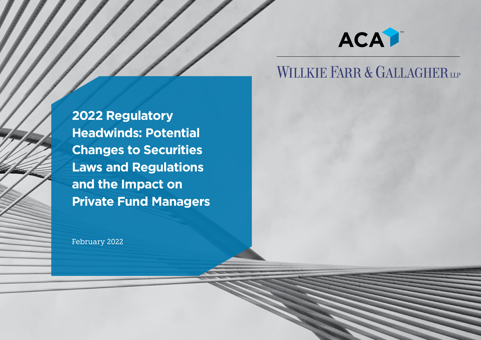

## WILLKIE FARR & GALLAGHER LLP

**2022 Regulatory Headwinds: Potential Changes to Securities Laws and Regulations and the Impact on Private Fund Managers**

February 2022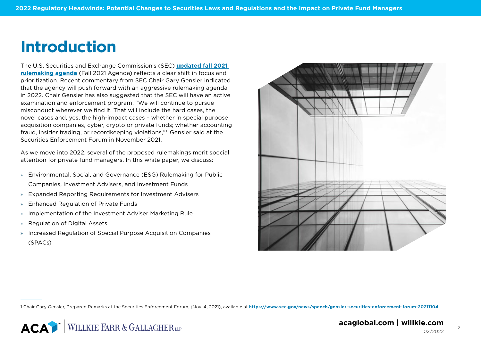## **Introduction**

The U.S. Securities and Exchange Commission's (SEC) **[updated fall 2021](https://www.reginfo.gov/public/do/eAgendaMain?operation=OPERATION_GET_AGENCY_RULE_LIST¤tPub=true&agencyCode&showStage=active&agencyCd=3235)  [rulemaking agenda](https://www.reginfo.gov/public/do/eAgendaMain?operation=OPERATION_GET_AGENCY_RULE_LIST¤tPub=true&agencyCode&showStage=active&agencyCd=3235)** (Fall 2021 Agenda) reflects a clear shift in focus and prioritization. Recent commentary from SEC Chair Gary Gensler indicated that the agency will push forward with an aggressive rulemaking agenda in 2022. Chair Gensler has also suggested that the SEC will have an active examination and enforcement program. "We will continue to pursue misconduct wherever we find it. That will include the hard cases, the novel cases and, yes, the high-impact cases – whether in special purpose acquisition companies, cyber, crypto or private funds; whether accounting fraud, insider trading, or recordkeeping violations,"1 Gensler said at the Securities Enforcement Forum in November 2021.

As we move into 2022, several of the proposed rulemakings merit special attention for private fund managers. In this white paper, we discuss:

- » Environmental, Social, and Governance (ESG) Rulemaking for Public Companies, Investment Advisers, and Investment Funds
- » Expanded Reporting Requirements for Investment Advisers
- » Enhanced Regulation of Private Funds
- » Implementation of the Investment Adviser Marketing Rule
- » Regulation of Digital Assets
- » Increased Regulation of Special Purpose Acquisition Companies (SPACs)



1 Chair Gary Gensler, Prepared Remarks at the Securities Enforcement Forum, (Nov. 4, 2021), available at **<https://www.sec.gov/news/speech/gensler-securities-enforcement-forum-20211104>**.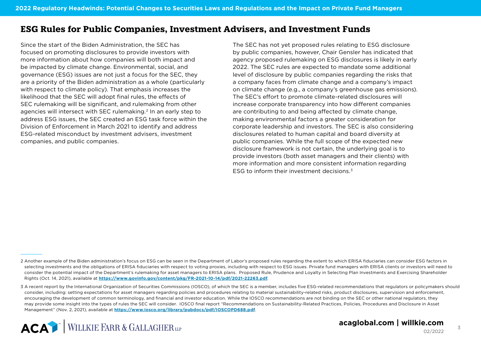## **ESG Rules for Public Companies, Investment Advisers, and Investment Funds**

Since the start of the Biden Administration, the SEC has focused on promoting disclosures to provide investors with more information about how companies will both impact and be impacted by climate change. Environmental, social, and governance (ESG) issues are not just a focus for the SEC, they are a priority of the Biden administration as a whole (particularly with respect to climate policy). That emphasis increases the likelihood that the SEC will adopt final rules, the effects of SEC rulemaking will be significant, and rulemaking from other agencies will intersect with SEC rulemaking.<sup>2</sup> In an early step to address ESG issues, the SEC created an ESG task force within the Division of Enforcement in March 2021 to identify and address ESG-related misconduct by investment advisers, investment companies, and public companies.

The SEC has not yet proposed rules relating to ESG disclosure by public companies, however, Chair Gensler has indicated that agency proposed rulemaking on ESG disclosures is likely in early 2022. The SEC rules are expected to mandate some additional level of disclosure by public companies regarding the risks that a company faces from climate change and a company's impact on climate change (e.g., a company's greenhouse gas emissions). The SEC's effort to promote climate-related disclosures will increase corporate transparency into how different companies are contributing to and being affected by climate change, making environmental factors a greater consideration for corporate leadership and investors. The SEC is also considering disclosures related to human capital and board diversity at public companies. While the full scope of the expected new disclosure framework is not certain, the underlying goal is to provide investors (both asset managers and their clients) with more information and more consistent information regarding ESG to inform their investment decisions.3

<sup>2</sup> Another example of the Biden administration's focus on ESG can be seen in the Department of Labor's proposed rules regarding the extent to which ERISA fiduciaries can consider ESG factors in selecting investments and the obligations of ERISA fiduciaries with respect to voting proxies, including with respect to ESG issues. Private fund managers with ERISA clients or investors will need to consider the potential impact of the Department's rulemaking for asset managers to ERISA plans. Proposed Rule, Prudence and Loyalty in Selecting Plan Investments and Exercising Shareholder Rights (Oct. 14, 2021), available at **<https://www.govinfo.gov/content/pkg/FR-2021-10-14/pdf/2021-22263.pdf>**.

<sup>3</sup> A recent report by the International Organization of Securities Commissions (IOSCO), of which the SEC is a member, includes five ESG-related recommendations that regulators or policymakers should consider, including: setting expectations for asset managers regarding policies and procedures relating to material sustainability-related risks, product disclosures, supervision and enforcement, encouraging the development of common terminology, and financial and investor education. While the IOSCO recommendations are not binding on the SEC or other national regulators, they may provide some insight into the types of rules the SEC will consider. IOSCO final report "Recommendations on Sustainability-Related Practices, Policies, Procedures and Disclosure in Asset Management" (Nov. 2, 2021), available at **<https://www.iosco.org/library/pubdocs/pdf/IOSCOPD688.pdf>**.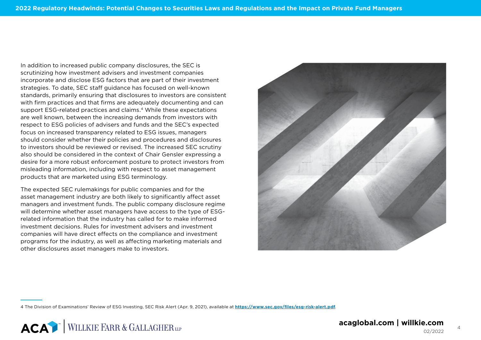In addition to increased public company disclosures, the SEC is scrutinizing how investment advisers and investment companies incorporate and disclose ESG factors that are part of their investment strategies. To date, SEC staff guidance has focused on well-known standards, primarily ensuring that disclosures to investors are consistent with firm practices and that firms are adequately documenting and can support ESG-related practices and claims.<sup>4</sup> While these expectations are well known, between the increasing demands from investors with respect to ESG policies of advisers and funds and the SEC's expected focus on increased transparency related to ESG issues, managers should consider whether their policies and procedures and disclosures to investors should be reviewed or revised. The increased SEC scrutiny also should be considered in the context of Chair Gensler expressing a desire for a more robust enforcement posture to protect investors from misleading information, including with respect to asset management products that are marketed using ESG terminology.

The expected SEC rulemakings for public companies and for the asset management industry are both likely to significantly affect asset managers and investment funds. The public company disclosure regime will determine whether asset managers have access to the type of ESGrelated information that the industry has called for to make informed investment decisions. Rules for investment advisers and investment companies will have direct effects on the compliance and investment programs for the industry, as well as affecting marketing materials and other disclosures asset managers make to investors.



4 The Division of Examinations' Review of ESG Investing, SEC Risk Alert (Apr. 9, 2021), available at **<https://www.sec.gov/files/esg-risk-alert.pdf>**.

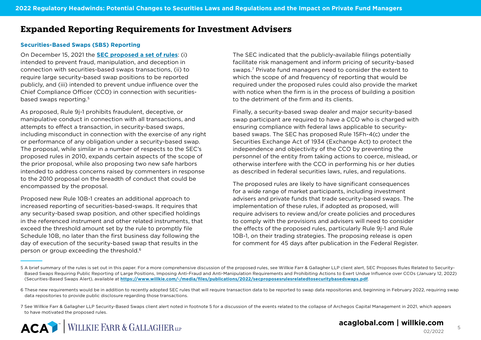## **Expanded Reporting Requirements for Investment Advisers**

#### **Securities-Based Swaps (SBS) Reporting**

On December 15, 2021 the **[SEC proposed a set of rules](https://www.sec.gov/rules/proposed/2021/34-93784.pdf)**: (i) intended to prevent fraud, manipulation, and deception in connection with securities-based swaps transactions, (ii) to require large security-based swap positions to be reported publicly, and (iii) intended to prevent undue influence over the Chief Compliance Officer (CCO) in connection with securitiesbased swaps reporting.5

As proposed, Rule 9j-1 prohibits fraudulent, deceptive, or manipulative conduct in connection with all transactions, and attempts to effect a transaction, in security-based swaps, including misconduct in connection with the exercise of any right or performance of any obligation under a security-based swap. The proposal, while similar in a number of respects to the SEC's proposed rules in 2010, expands certain aspects of the scope of the prior proposal, while also proposing two new safe harbors intended to address concerns raised by commenters in response to the 2010 proposal on the breadth of conduct that could be encompassed by the proposal.

Proposed new Rule 10B-1 creates an additional approach to increased reporting of securities-based-swaps. It requires that any security-based swap position, and other specified holdings in the referenced instrument and other related instruments, that exceed the threshold amount set by the rule to promptly file Schedule 10B, no later than the first business day following the day of execution of the security-based swap that results in the person or group exceeding the threshold.<sup>6</sup>

The SEC indicated that the publicly-available filings potentially facilitate risk management and inform pricing of security-based swaps.7 Private fund managers need to consider the extent to which the scope of and frequency of reporting that would be required under the proposed rules could also provide the market with notice when the firm is in the process of building a position to the detriment of the firm and its clients.

Finally, a security-based swap dealer and major security-based swap participant are required to have a CCO who is charged with ensuring compliance with federal laws applicable to securitybased swaps. The SEC has proposed Rule 15Fh-4(c) under the Securities Exchange Act of 1934 (Exchange Act) to protect the independence and objectivity of the CCO by preventing the personnel of the entity from taking actions to coerce, mislead, or otherwise interfere with the CCO in performing his or her duties as described in federal securities laws, rules, and regulations.

The proposed rules are likely to have significant consequences for a wide range of market participants, including investment advisers and private funds that trade security-based swaps. The implementation of these rules, if adopted as proposed, will require advisers to review and/or create policies and procedures to comply with the provisions and advisers will need to consider the effects of the proposed rules, particularly Rule 9j-1 and Rule 10B-1, on their trading strategies. The proposing release is open for comment for 45 days after publication in the Federal Register.

<sup>5</sup> A brief summary of the rules is set out in this paper. For a more comprehensive discussion of the proposed rules, see Willkie Farr & Gallagher LLP client alert, SEC Proposes Rules Related to Security-Based Swaps Requiring Public Reporting of Large Positions, Imposing Anti-Fraud and Anti-Manipulation Requirements and Prohibiting Actions to Exert Undue Influence over CCOs (January 12, 2022) (Securities-Based Swaps Alert), available at **<https://www.willkie.com/-/media/files/publications/2022/secproposesrulesrelatedtosecuritybasedswaps.pdf>**.

<sup>6</sup> These new requirements would be in addition to recently adopted SEC rules that will require transaction data to be reported to swap data repositories and, beginning in February 2022, requiring swap data repositories to provide public disclosure regarding those transactions.

<sup>7</sup> See Willkie Farr & Gallagher LLP Security-Based Swaps client alert noted in footnote 5 for a discussion of the events related to the collapse of Archegos Capital Management in 2021, which appears to have motivated the proposed rules.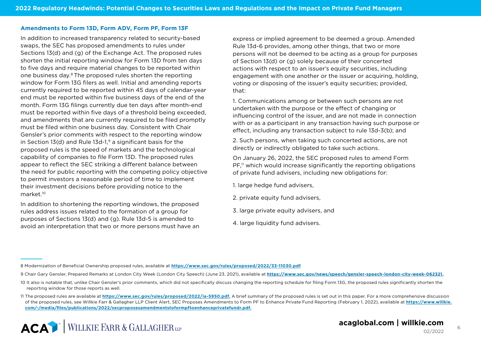#### **Amendments to Form 13D, Form ADV, Form PF, Form 13F**

In addition to increased transparency related to security-based swaps, the SEC has proposed amendments to rules under Sections 13(d) and (g) of the Exchange Act. The proposed rules shorten the initial reporting window for Form 13D from ten days to five days and require material changes to be reported within one business day.8 The proposed rules shorten the reporting window for Form 13G filers as well. Initial and amending reports currently required to be reported within 45 days of calendar-year end must be reported within five business days of the end of the month. Form 13G filings currently due ten days after month-end must be reported within five days of a threshold being exceeded, and amendments that are currently required to be filed promptly must be filed within one business day. Consistent with Chair Gensler's prior comments with respect to the reporting window in Section 13(d) and Rule 13d-1, $9$  a significant basis for the proposed rules is the speed of markets and the technological capability of companies to file Form 13D. The proposed rules appear to reflect the SEC striking a different balance between the need for public reporting with the competing policy objective to permit investors a reasonable period of time to implement their investment decisions before providing notice to the market<sup>10</sup>

In addition to shortening the reporting windows, the proposed rules address issues related to the formation of a group for purposes of Sections 13(d) and (g). Rule 13d-5 is amended to avoid an interpretation that two or more persons must have an express or implied agreement to be deemed a group. Amended Rule 13d-6 provides, among other things, that two or more persons will not be deemed to be acting as a group for purposes of Section 13(d) or (g) solely because of their concerted actions with respect to an issuer's equity securities, including engagement with one another or the issuer or acquiring, holding, voting or disposing of the issuer's equity securities; provided, that:

1. Communications among or between such persons are not undertaken with the purpose or the effect of changing or influencing control of the issuer, and are not made in connection with or as a participant in any transaction having such purpose or effect, including any transaction subject to rule 13d-3(b); and

2. Such persons, when taking such concerted actions, are not directly or indirectly obligated to take such actions.

On January 26, 2022, the SEC proposed rules to amend Form PF,<sup>11</sup> which would increase significantly the reporting obligations of private fund advisers, including new obligations for:

- 1. large hedge fund advisers,
- 2. private equity fund advisers,
- 3. large private equity advisers, and
- 4. large liquidity fund advisers.

<sup>8</sup> Modernization of Beneficial Ownership proposed rules, available at **https://www.sec.gov/rules/proposed/2022/33-11030.pdf**.

<sup>9</sup> Chair Gary Gensler, Prepared Remarks at London City Week (London City Speech) (June 23, 2021), available at **<https://www.sec.gov/news/speech/gensler-speech-london-city-week-062321>[.](https://www.sec.gov/rules/proposed/2022/33-11030.pdf.)**

<sup>10</sup> It also is notable that, unlike Chair Gensler's prior comments, which did not specifically discuss changing the reporting schedule for filing Form 13G, the proposed rules significantly shorten the reporting window for those reports as well.

<sup>11</sup> The proposed rules are available at **<https://www.sec.gov/rules/proposed/2022/ia-5950.pdf>.** A brief summary of the proposed rules is set out in this paper. For a more comprehensive discussion of the proposed rules, see Willkie Farr & Gallagher LLP Client Alert, SEC Proposes Amendments to Form PF to Enhance Private Fund Reporting (February 1, 2022), available at **[https://www.willkie.](https://www.willkie.com/-/media/files/publications/2022/secproposesamendmentstoformpftoenhanceprivatefundr.pdf) [com/-/media/files/publications/2022/secproposesamendmentstoformpftoenhanceprivatefundr.pdf.](https://www.willkie.com/-/media/files/publications/2022/secproposesamendmentstoformpftoenhanceprivatefundr.pdf)**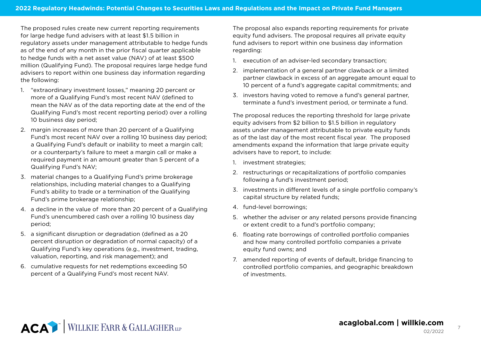The proposed rules create new current reporting requirements for large hedge fund advisers with at least \$1.5 billion in regulatory assets under management attributable to hedge funds as of the end of any month in the prior fiscal quarter applicable to hedge funds with a net asset value (NAV) of at least \$500 million (Qualifying Fund). The proposal requires large hedge fund advisers to report within one business day information regarding the following:

- 1. "extraordinary investment losses," meaning 20 percent or more of a Qualifying Fund's most recent NAV (defined to mean the NAV as of the data reporting date at the end of the Qualifying Fund's most recent reporting period) over a rolling 10 business day period;
- 2. margin increases of more than 20 percent of a Qualifying Fund's most recent NAV over a rolling 10 business day period; a Qualifying Fund's default or inability to meet a margin call; or a counterparty's failure to meet a margin call or make a required payment in an amount greater than 5 percent of a Qualifying Fund's NAV;
- 3. material changes to a Qualifying Fund's prime brokerage relationships, including material changes to a Qualifying Fund's ability to trade or a termination of the Qualifying Fund's prime brokerage relationship;
- 4. a decline in the value of more than 20 percent of a Qualifying Fund's unencumbered cash over a rolling 10 business day period;
- 5. a significant disruption or degradation (defined as a 20 percent disruption or degradation of normal capacity) of a Qualifying Fund's key operations (e.g., investment, trading, valuation, reporting, and risk management); and
- 6. cumulative requests for net redemptions exceeding 50 percent of a Qualifying Fund's most recent NAV.

The proposal also expands reporting requirements for private equity fund advisers. The proposal requires all private equity fund advisers to report within one business day information regarding:

- 1. execution of an adviser-led secondary transaction;
- 2. implementation of a general partner clawback or a limited partner clawback in excess of an aggregate amount equal to 10 percent of a fund's aggregate capital commitments; and
- 3. investors having voted to remove a fund's general partner, terminate a fund's investment period, or terminate a fund.

The proposal reduces the reporting threshold for large private equity advisers from \$2 billion to \$1.5 billion in regulatory assets under management attributable to private equity funds as of the last day of the most recent fiscal year. The proposed amendments expand the information that large private equity advisers have to report, to include:

- 1. investment strategies;
- 2. restructurings or recapitalizations of portfolio companies following a fund's investment period;
- 3. investments in different levels of a single portfolio company's capital structure by related funds;
- 4. fund-level borrowings;
- 5. whether the adviser or any related persons provide financing or extent credit to a fund's portfolio company;
- 6. floating rate borrowings of controlled portfolio companies and how many controlled portfolio companies a private equity fund owns; and
- 7. amended reporting of events of default, bridge financing to controlled portfolio companies, and geographic breakdown of investments.

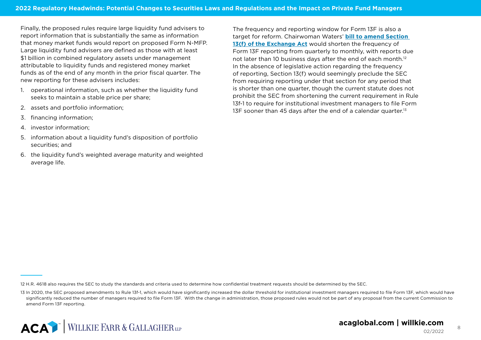Finally, the proposed rules require large liquidity fund advisers to report information that is substantially the same as information that money market funds would report on proposed Form N-MFP. Large liquidity fund advisers are defined as those with at least \$1 billion in combined regulatory assets under management attributable to liquidity funds and registered money market funds as of the end of any month in the prior fiscal quarter. The new reporting for these advisers includes:

- 1. operational information, such as whether the liquidity fund seeks to maintain a stable price per share;
- 2. assets and portfolio information;
- 3. financing information;
- 4. investor information;
- 5. information about a liquidity fund's disposition of portfolio securities; and
- 6. the liquidity fund's weighted average maturity and weighted average life.

The frequency and reporting window for Form 13F is also a target for reform. Chairwoman Waters' **[bill to amend Section](https://financialservices.house.gov/uploadedfiles/bills-117-4618-w000187-amdt-8.pdf)  [13\(f\) of the Exchange Act](https://financialservices.house.gov/uploadedfiles/bills-117-4618-w000187-amdt-8.pdf)** would shorten the frequency of Form 13F reporting from quarterly to monthly, with reports due not later than 10 business days after the end of each month.<sup>12</sup> In the absence of legislative action regarding the frequency of reporting, Section 13(f) would seemingly preclude the SEC from requiring reporting under that section for any period that is shorter than one quarter, though the current statute does not prohibit the SEC from shortening the current requirement in Rule 13f-1 to require for institutional investment managers to file Form 13F sooner than 45 days after the end of a calendar quarter.<sup>13</sup>

<sup>13</sup> In 2020, the SEC proposed amendments to Rule 13f-1, which would have significantly increased the dollar threshold for institutional investment managers required to file Form 13F, which would have significantly reduced the number of managers required to file Form 13F. With the change in administration, those proposed rules would not be part of any proposal from the current Commission to amend Form 13F reporting.



<sup>12</sup> H.R. 4618 also requires the SEC to study the standards and criteria used to determine how confidential treatment requests should be determined by the SEC.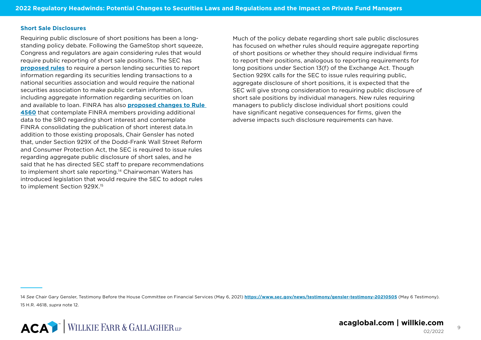#### **Short Sale Disclosures**

Requiring public disclosure of short positions has been a longstanding policy debate. Following the GameStop short squeeze, Congress and regulators are again considering rules that would require public reporting of short sale positions. The SEC has **[proposed rules](https://www.sec.gov/rules/proposed/2021/34-93613.pdf)** to require a person lending securities to report information regarding its securities lending transactions to a national securities association and would require the national securities association to make public certain information, including aggregate information regarding securities on loan and available to loan. FINRA has also **[proposed changes to Rule](https://www.finra.org/rules-guidance/notices/21-19)  [4560](https://www.finra.org/rules-guidance/notices/21-19)** that contemplate FINRA members providing additional data to the SRO regarding short interest and contemplate FINRA consolidating the publication of short interest data.In addition to those existing proposals, Chair Gensler has noted that, under Section 929X of the Dodd-Frank Wall Street Reform and Consumer Protection Act, the SEC is required to issue rules regarding aggregate public disclosure of short sales, and he said that he has directed SEC staff to prepare recommendations to implement short sale reporting.14 Chairwoman Waters has introduced legislation that would require the SEC to adopt rules to implement Section 929X.<sup>15</sup>

Much of the policy debate regarding short sale public disclosures has focused on whether rules should require aggregate reporting of short positions or whether they should require individual firms to report their positions, analogous to reporting requirements for long positions under Section 13(f) of the Exchange Act. Though Section 929X calls for the SEC to issue rules requiring public. aggregate disclosure of short positions, it is expected that the SEC will give strong consideration to requiring public disclosure of short sale positions by individual managers. New rules requiring managers to publicly disclose individual short positions could have significant negative consequences for firms, given the adverse impacts such disclosure requirements can have.

<sup>14</sup> *See* Chair Gary Gensler, Testimony Before the House Committee on Financial Services (May 6, 2021) **<https://www.sec.gov/news/testimony/gensler-testimony-20210505>** [\(May 6 Testimony\)](https://www.sec.gov/news/testimony/gensler-testimony-20210505 (May 6 Testimony)). 15 H.R. 4618, *supra* note 12.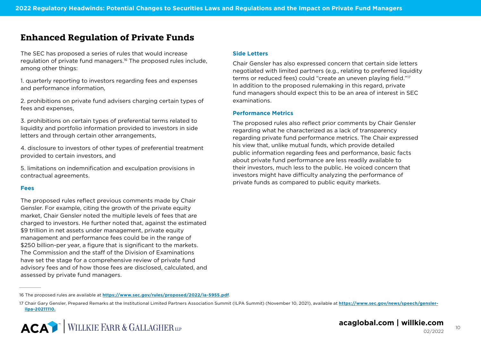### **Enhanced Regulation of Private Funds**

The SEC has proposed a series of rules that would increase regulation of private fund managers.<sup>16</sup> The proposed rules include, among other things:

1. quarterly reporting to investors regarding fees and expenses and performance information,

2. prohibitions on private fund advisers charging certain types of fees and expenses,

3. prohibitions on certain types of preferential terms related to liquidity and portfolio information provided to investors in side letters and through certain other arrangements,

4. disclosure to investors of other types of preferential treatment provided to certain investors, and

5. limitations on indemnification and exculpation provisions in contractual agreements.

#### **Fees**

The proposed rules reflect previous comments made by Chair Gensler. For example, citing the growth of the private equity market, Chair Gensler noted the multiple levels of fees that are charged to investors. He further noted that, against the estimated \$9 trillion in net assets under management, private equity management and performance fees could be in the range of \$250 billion-per year, a figure that is significant to the markets. The Commission and the staff of the Division of Examinations have set the stage for a comprehensive review of private fund advisory fees and of how those fees are disclosed, calculated, and assessed by private fund managers.

#### **Side Letters**

Chair Gensler has also expressed concern that certain side letters negotiated with limited partners (e.g., relating to preferred liquidity terms or reduced fees) could "create an uneven playing field."17 In addition to the proposed rulemaking in this regard, private fund managers should expect this to be an area of interest in SEC examinations.

#### **Performance Metrics**

The proposed rules also reflect prior comments by Chair Gensler regarding what he characterized as a lack of transparency regarding private fund performance metrics. The Chair expressed his view that, unlike mutual funds, which provide detailed public information regarding fees and performance, basic facts about private fund performance are less readily available to their investors, much less to the public. He voiced concern that investors might have difficulty analyzing the performance of private funds as compared to public equity markets.

<sup>17</sup> Chair Gary Gensler, Prepared Remarks at the Institutional Limited Partners Association Summit (ILPA Summit) (November 10, 2021), available at **[https://www.sec.gov/news/speech/gensler](https://www.sec.gov/news/speech/gensler-ilpa-20211110)[ilpa-20211110.](https://www.sec.gov/news/speech/gensler-ilpa-20211110)**



<sup>16</sup> The proposed rules are available at **<https://www.sec.gov/rules/proposed/2022/ia-5955.pdf>**.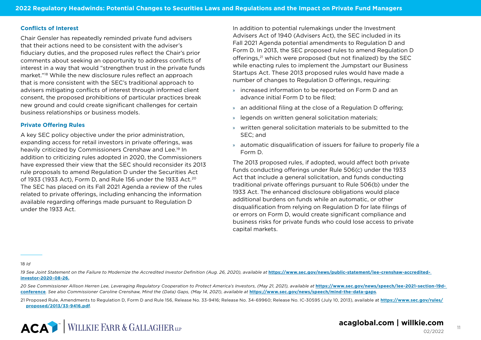#### **Conflicts of Interest**

Chair Gensler has repeatedly reminded private fund advisers that their actions need to be consistent with the adviser's fiduciary duties, and the proposed rules reflect the Chair's prior comments about seeking an opportunity to address conflicts of interest in a way that would "strengthen trust in the private funds market."18 While the new disclosure rules reflect an approach that is more consistent with the SEC's traditional approach to advisers mitigating conflicts of interest through informed client consent, the proposed prohibitions of particular practices break new ground and could create significant challenges for certain business relationships or business models.

#### **Private Offering Rules**

A key SEC policy objective under the prior administration, expanding access for retail investors in private offerings, was heavily criticized by Commissioners Crenshaw and Lee.19 In addition to criticizing rules adopted in 2020, the Commissioners have expressed their view that the SEC should reconsider its 2013 rule proposals to amend Regulation D under the Securities Act of 1933 (1933 Act), Form D, and Rule 156 under the 1933 Act.<sup>20</sup> The SEC has placed on its Fall 2021 Agenda a review of the rules related to private offerings, including enhancing the information available regarding offerings made pursuant to Regulation D under the 1933 Act.

In addition to potential rulemakings under the Investment Advisers Act of 1940 (Advisers Act), the SEC included in its Fall 2021 Agenda potential amendments to Regulation D and Form D. In 2013, the SEC proposed rules to amend Regulation D offerings,21 which were proposed (but not finalized) by the SEC while enacting rules to implement the Jumpstart our Business Startups Act. These 2013 proposed rules would have made a number of changes to Regulation D offerings, requiring:

- » increased information to be reported on Form D and an advance initial Form D to be filed;
- » an additional filing at the close of a Regulation D offering;
- » legends on written general solicitation materials;
- » written general solicitation materials to be submitted to the SEC; and
- » automatic disqualification of issuers for failure to properly file a Form D.

The 2013 proposed rules, if adopted, would affect both private funds conducting offerings under Rule 506(c) under the 1933 Act that include a general solicitation, and funds conducting traditional private offerings pursuant to Rule 506(b) under the 1933 Act. The enhanced disclosure obligations would place additional burdens on funds while an automatic, or other disqualification from relying on Regulation D for late filings of or errors on Form D, would create significant compliance and business risks for private funds who could lose access to private capital markets.

18 *Id*

- 19 See Joint Statement on the Failure to Modernize the Accredited Investor Definition (Aug. 26, 2020), available at [https://www.sec.gov/news/public-statement/lee-crenshaw-accredited](https://www.sec.gov/news/public-statement/lee-crenshaw-accredited- investor-2020-08-26)**[investor-2020-08-26.](https://www.sec.gov/news/public-statement/lee-crenshaw-accredited- investor-2020-08-26)**
- 20 See Commissioner Allison Herren Lee, Leveraging Regulatory Cooperation to Protect America's Investors, (May 21, 2021), available at [https://www.sec.gov/news/speech/lee-2021-section-19d](https://www.sec.gov/news/speech/lee-2021-section-19d- conference)**[conference](https://www.sec.gov/news/speech/lee-2021-section-19d- conference)***. See also Commissioner Caroline Crenshaw, Mind the (Data) Gaps, (May 14, 2021), available at* **<https://www.sec.gov/news/speech/mind-the-data-gaps>***.*
- 21 Proposed Rule, Amendments to Regulation D, Form D and Rule 156, Release No. 33-9416; Release No. 34-69960; Release No. IC-30595 (July 10, 2013), available at **[https://www.sec.gov/rules/](https://www.sec.gov/rules/proposed/2013/33-9416.pdf) [proposed/2013/33-9416.pdf](https://www.sec.gov/rules/proposed/2013/33-9416.pdf)**.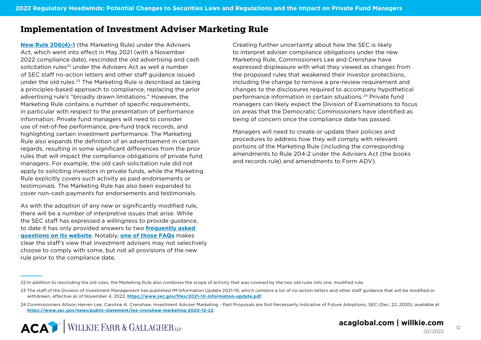## **Implementation of Investment Adviser Marketing Rule**

**[New Rule 206\(4\)-1](https://www.acaglobal.com/insights/sec-adopts-new-marketing-rule-investment-advisers?utm_medium=pdf&utm_source=pdf&utm_campaign=2022-01-25-willkie-aca-white-paper)** (the Marketing Rule) under the Advisers Act, which went into effect in May 2021 (with a November 2022 compliance date), rescinded the old advertising and cash solicitation rules<sup>22</sup> under the Advisers Act as well a number of SEC staff no-action letters and other staff guidance issued under the old rules.23 The Marketing Rule is described as taking a principles-based approach to compliance, replacing the prior advertising rule's "broadly drawn limitations." However, the Marketing Rule contains a number of specific requirements, in particular with respect to the presentation of performance information. Private fund managers will need to consider use of net-of-fee performance, pre-fund track records, and highlighting certain investment performance. The Marketing Rule also expands the definition of an advertisement in certain regards, resulting in some significant differences from the prior rules that will impact the compliance obligations of private fund managers. For example, the old cash solicitation rule did not apply to soliciting investors in private funds, while the Marketing Rule explicitly covers such activity as paid endorsements or testimonials. The Marketing Rule has also been expanded to cover non-cash payments for endorsements and testimonials.

As with the adoption of any new or significantly modified rule, there will be a number of interpretive issues that arise. While the SEC staff has expressed a willingness to provide guidance, to date it has only provided answers to two **[frequently asked](https://www.sec.gov/investment/marketing-faq)  [questions on its website](https://www.sec.gov/investment/marketing-faq)**. Notably, **[one of those FAQs](https://www.acaglobal.com/insights/new-marketing-rule-sec-staff-confirms-all-or-none-early-adoption-approach?utm_medium=pdf&utm_source=pdf&utm_campaign=2022-01-25-willkie-aca-white-paper)** makes clear the staff's view that investment advisers may not selectively choose to comply with some, but not all provisions of the new rule prior to the compliance date.

Creating further uncertainty about how the SEC is likely to interpret adviser compliance obligations under the new Marketing Rule, Commissioners Lee and Crenshaw have expressed displeasure with what they viewed as changes from the proposed rules that weakened their investor protections, including the change to remove a pre-review requirement and changes to the disclosures required to accompany hypothetical performance information in certain situations.24 Private fund managers can likely expect the Division of Examinations to focus on areas that the Democratic Commissioners have identified as being of concern once the compliance date has passed.

Managers will need to create or update their policies and procedures to address how they will comply with relevant portions of the Marketing Rule (including the corresponding amendments to Rule 204-2 under the Advisers Act (the books and records rule) and amendments to Form ADV).

02/2022

<sup>22</sup> In addition to rescinding the old rules, the Marketing Rule also combines the scope of activity that was covered by the two old rules into one, modified rule.

<sup>23</sup> The staff of the Division of Investment Management has published IM Information Update 2021-10, which contains a list of no-action letters and other staff guidance that will be modified or withdrawn, effective as of November 4, 2022, **<https://www.sec.gov/files/2021-10-information-update.pdf>**.

<sup>24</sup> Commissioners Allison Herren Lee, Caroline A. Crenshaw, Investment Adviser Marketing - Past Proposals are Not Necessarily Indicative of Future Adoptions, SEC (Dec. 22, 2020), available at **<https://www.sec.gov/news/public-statement/lee-crenshaw-marketing-2020-12-22>**.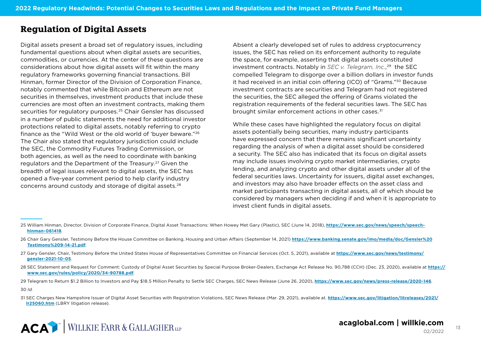## **Regulation of Digital Assets**

Digital assets present a broad set of regulatory issues, including fundamental questions about when digital assets are securities, commodities, or currencies. At the center of these questions are considerations about how digital assets will fit within the many regulatory frameworks governing financial transactions. Bill Hinman, former Director of the Division of Corporation Finance, notably commented that while Bitcoin and Ethereum are not securities in themselves, investment products that include these currencies are most often an investment contracts, making them securities for regulatory purposes.<sup>25</sup> Chair Gensler has discussed in a number of public statements the need for additional investor protections related to digital assets, notably referring to crypto finance as the "Wild West or the old world of 'buyer beware."26 The Chair also stated that regulatory jurisdiction could include the SEC, the Commodity Futures Trading Commission, or both agencies, as well as the need to coordinate with banking regulators and the Department of the Treasury.<sup>27</sup> Given the breadth of legal issues relevant to digital assets, the SEC has opened a five-year comment period to help clarify industry concerns around custody and storage of digital assets.28

Absent a clearly developed set of rules to address cryptocurrency issues, the SEC has relied on its enforcement authority to regulate the space, for example, asserting that digital assets constituted investment contracts. Notably in *SEC v. Telegram, Inc.*, 29 the SEC compelled Telegram to disgorge over a billion dollars in investor funds it had received in an initial coin offering (ICO) of "Grams."30 Because investment contracts are securities and Telegram had not registered the securities, the SEC alleged the offering of Grams violated the registration requirements of the federal securities laws. The SEC has brought similar enforcement actions in other cases.<sup>31</sup>

While these cases have highlighted the regulatory focus on digital assets potentially being securities, many industry participants have expressed concern that there remains significant uncertainty regarding the analysis of when a digital asset should be considered a security. The SEC also has indicated that its focus on digital assets may include issues involving crypto market intermediaries, crypto lending, and analyzing crypto and other digital assets under all of the federal securities laws. Uncertainty for issuers, digital asset exchanges, and investors may also have broader effects on the asset class and market participants transacting in digital assets, all of which should be considered by managers when deciding if and when it is appropriate to invest client funds in digital assets.

- 28 SEC Statement and Request for Comment: Custody of Digital Asset Securities by Special Purpose Broker-Dealers, Exchange Act Release No. 90,788 (CCH) (Dec. 23, 2020), available at **[https://](https://www.sec.gov/rules/policy/2020/34-90788.pdf) [www.sec.gov/rules/policy/2020/34-90788.pdf](https://www.sec.gov/rules/policy/2020/34-90788.pdf)**.
- 29 Telegram to Return \$1.2 Billion to Investors and Pay \$18.5 Million Penalty to Settle SEC Charges, SEC News Release (June 26, 2020), **https://www.sec.gov/news/press-release/2020-146**.

30 *Id.*

<sup>25</sup> William Hinman, Director, Division of Corporate Finance, Digital Asset Transactions: When Howey Met Gary (Plastic), SEC (June 14, 2018), **[https://www.sec.gov/news/speech/speech](https://www.sec.gov/news/speech/speech-hinman-061418)[hinman-061418](https://www.sec.gov/news/speech/speech-hinman-061418)**.

<sup>26</sup> Chair Gary Gensler, Testimony Before the House Committee on Banking, Housing and Urban Affairs (September 14, 2021) **[https://www.banking.senate.gov/imo/media/doc/Gensler%20](https://www.banking.senate.gov/imo/media/doc/Gensler%20Testimony%209-14-21.pdf) [Testimony%209-14-21.pdf](https://www.banking.senate.gov/imo/media/doc/Gensler%20Testimony%209-14-21.pdf)**.

<sup>27</sup> Gary Gensler, Chair, Testimony Before the United States House of Representatives Committee on Financial Services (Oct. 5, 2021), available at **[https://www.sec.gov/news/testimony/](https://www.sec.gov/news/testimony/gensler-2021-10-05) [gensler-2021-10-05](https://www.sec.gov/news/testimony/gensler-2021-10-05)**.

<sup>31</sup> SEC Charges New Hampshire Issuer of Digital Asset Securities with Registration Violations, SEC News Release (Mar. 29, 2021), available at. **[https://www.sec.gov/litigation/litreleases/2021/](https://www.sec.gov/litigation/litreleases/2021/lr25060.htm) [lr25060.htm](https://www.sec.gov/litigation/litreleases/2021/lr25060.htm)** (LBRY litigation release).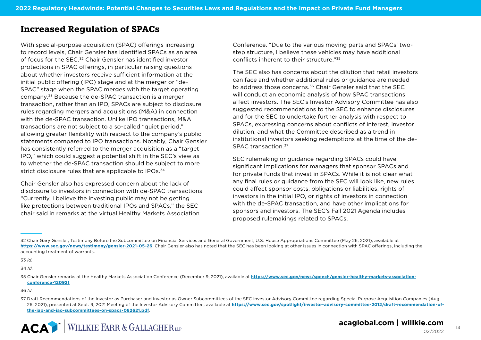## **Increased Regulation of SPACs**

With special-purpose acquisition (SPAC) offerings increasing to record levels, Chair Gensler has identified SPACs as an area of focus for the SEC.32 Chair Gensler has identified investor protections in SPAC offerings, in particular raising questions about whether investors receive sufficient information at the initial public offering (IPO) stage and at the merger or "de-SPAC" stage when the SPAC merges with the target operating company.33 Because the de-SPAC transaction is a merger transaction, rather than an IPO, SPACs are subject to disclosure rules regarding mergers and acquisitions (M&A) in connection with the de-SPAC transaction. Unlike IPO transactions, M&A transactions are not subject to a so-called "quiet period," allowing greater flexibility with respect to the company's public statements compared to IPO transactions. Notably, Chair Gensler has consistently referred to the merger acquisition as a "target IPO," which could suggest a potential shift in the SEC's view as to whether the de-SPAC transaction should be subject to more strict disclosure rules that are applicable to IPOs.<sup>34</sup>

Chair Gensler also has expressed concern about the lack of disclosure to investors in connection with de-SPAC transactions. "Currently, I believe the investing public may not be getting like protections between traditional IPOs and SPACs," the SEC chair said in remarks at the virtual Healthy Markets Association

Conference. "Due to the various moving parts and SPACs' twostep structure, I believe these vehicles may have additional conflicts inherent to their structure."35

The SEC also has concerns about the dilution that retail investors can face and whether additional rules or guidance are needed to address those concerns.<sup>36</sup> Chair Gensler said that the SEC will conduct an economic analysis of how SPAC transactions affect investors. The SEC's Investor Advisory Committee has also suggested recommendations to the SEC to enhance disclosures and for the SEC to undertake further analysis with respect to SPACs, expressing concerns about conflicts of interest, investor dilution, and what the Committee described as a trend in institutional investors seeking redemptions at the time of the de-SPAC transaction.37

SEC rulemaking or guidance regarding SPACs could have significant implications for managers that sponsor SPACs and for private funds that invest in SPACs. While it is not clear what any final rules or guidance from the SEC will look like, new rules could affect sponsor costs, obligations or liabilities, rights of investors in the initial IPO, or rights of investors in connection with the de-SPAC transaction, and have other implications for sponsors and investors. The SEC's Fall 2021 Agenda includes proposed rulemakings related to SPACs.

33 *Id.*

34 *Id.*

<sup>32</sup> Chair Gary Gensler, Testimony Before the Subcommittee on Financial Services and General Government, U.S. House Appropriations Committee (May 26, 2021), available at **<https://www.sec.gov/news/testimony/gensler-2021-05-26>**. Chair Gensler also has noted that the SEC has been looking at other issues in connection with SPAC offerings, including the accounting treatment of warrants.

<sup>35</sup> Chair Gensler remarks at the Healthy Markets Association Conference (December 9, 2021), available at **[https://www.sec.gov/news/speech/gensler-healthy-markets-association](https://www.sec.gov/news/speech/gensler-healthy-markets-association-conference-120921)[conference-120921](https://www.sec.gov/news/speech/gensler-healthy-markets-association-conference-120921)**.

<sup>36</sup> *Id*.

<sup>37</sup> Draft Recommendations of the Investor as Purchaser and Investor as Owner Subcommittees of the SEC Investor Advisory Committee regarding Special Purpose Acquisition Companies (Aug. 26, 2021), presented at Sept. 9, 2021 Meeting of the Investor Advisory Committee, available at **[https://www.sec.gov/spotlight/investor-advisory-committee-2012/draft-recommendation-of](https://www.sec.gov/spotlight/investor-advisory-committee-2012/draft-recommendation-of-the-iap-and-iao-subcommittees-on-spacs-082621.pdf)[the-iap-and-iao-subcommittees-on-spacs-082621.pdf](https://www.sec.gov/spotlight/investor-advisory-committee-2012/draft-recommendation-of-the-iap-and-iao-subcommittees-on-spacs-082621.pdf)**.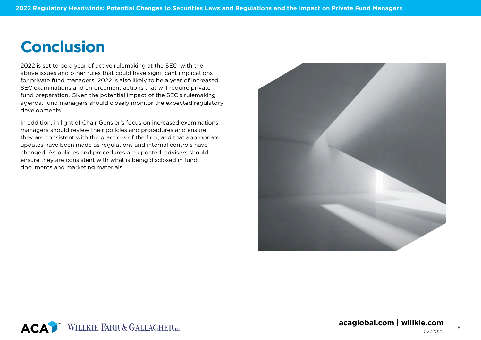## **Conclusion**

2022 is set to be a year of active rulemaking at the SEC, with the above issues and other rules that could have significant implications for private fund managers. 2022 is also likely to be a year of increased SEC examinations and enforcement actions that will require private fund preparation. Given the potential impact of the SEC's rulemaking agenda, fund managers should closely monitor the expected regulatory developments.

In addition, in light of Chair Gensler's focus on increased examinations, managers should review their policies and procedures and ensure they are consistent with the practices of the firm, and that appropriate updates have been made as regulations and internal controls have changed. As policies and procedures are updated, advisers should ensure they are consistent with what is being disclosed in fund documents and marketing materials.



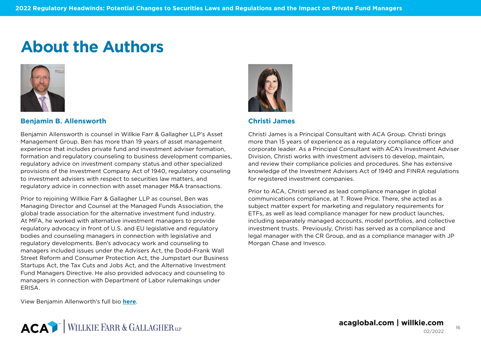## **About the Authors**



#### **Benjamin B. Allensworth**

Benjamin Allensworth is counsel in Willkie Farr & Gallagher LLP's Asset Management Group. Ben has more than 19 years of asset management experience that includes private fund and investment adviser formation, formation and regulatory counseling to business development companies, regulatory advice on investment company status and other specialized provisions of the Investment Company Act of 1940, regulatory counseling to investment advisers with respect to securities law matters, and regulatory advice in connection with asset manager M&A transactions.

Prior to rejoining Willkie Farr & Gallagher LLP as counsel, Ben was Managing Director and Counsel at the Managed Funds Association, the global trade association for the alternative investment fund industry. At MFA, he worked with alternative investment managers to provide regulatory advocacy in front of U.S. and EU legislative and regulatory bodies and counseling managers in connection with legislative and regulatory developments. Ben's advocacy work and counseling to managers included issues under the Advisers Act, the Dodd-Frank Wall Street Reform and Consumer Protection Act, the Jumpstart our Business Startups Act, the Tax Cuts and Jobs Act, and the Alternative Investment Fund Managers Directive. He also provided advocacy and counseling to managers in connection with Department of Labor rulemakings under **FRISA** 



#### **Christi James**

Christi James is a Principal Consultant with ACA Group. Christi brings more than 15 years of experience as a regulatory compliance officer and corporate leader. As a Principal Consultant with ACA's Investment Adviser Division, Christi works with investment advisers to develop, maintain, and review their compliance policies and procedures. She has extensive knowledge of the Investment Advisers Act of 1940 and FINRA regulations for registered investment companies.

Prior to ACA, Christi served as lead compliance manager in global communications compliance, at T. Rowe Price. There, she acted as a subject matter expert for marketing and regulatory requirements for ETFs, as well as lead compliance manager for new product launches, including separately managed accounts, model portfolios, and collective investment trusts. Previously, Christi has served as a compliance and legal manager with the CR Group, and as a compliance manager with JP Morgan Chase and Invesco.

View Benjamin Allenworth's full bio **[here](https://www.willkie.com/professionals/a/allensworth-benjamin)**.